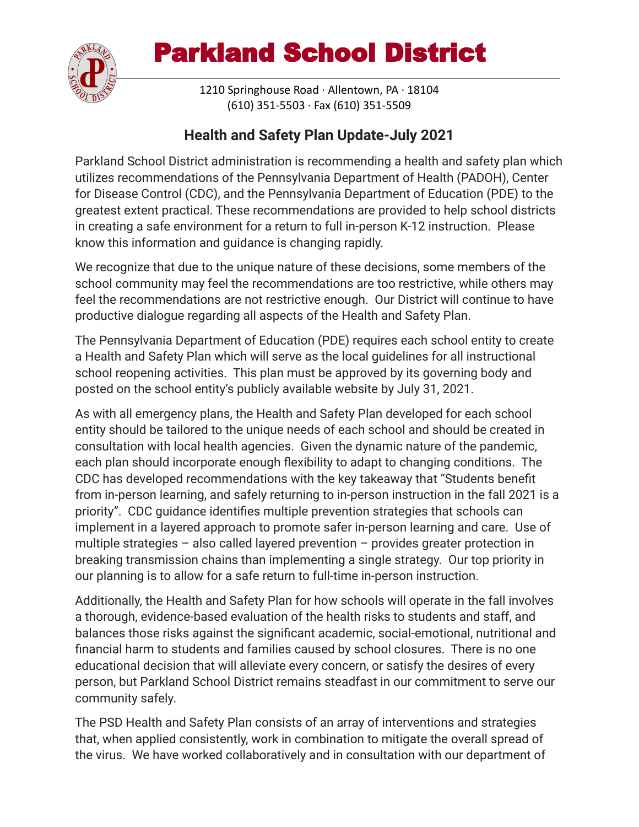

1210 Springhouse Road · Allentown, PA · 18104 (610) 351-5503 · Fax (610) 351-5509

#### **Health and Safety Plan Update-July 2021**

Parkland School District administration is recommending a health and safety plan which utilizes recommendations of the Pennsylvania Department of Health (PADOH), Center for Disease Control (CDC), and the Pennsylvania Department of Education (PDE) to the greatest extent practical. These recommendations are provided to help school districts in creating a safe environment for a return to full in-person K-12 instruction. Please know this information and guidance is changing rapidly.

We recognize that due to the unique nature of these decisions, some members of the school community may feel the recommendations are too restrictive, while others may feel the recommendations are not restrictive enough. Our District will continue to have productive dialogue regarding all aspects of the Health and Safety Plan.

The Pennsylvania Department of Education (PDE) requires each school entity to create a Health and Safety Plan which will serve as the local guidelines for all instructional school reopening activities. This plan must be approved by its governing body and posted on the school entity's publicly available website by July 31, 2021.

As with all emergency plans, the Health and Safety Plan developed for each school entity should be tailored to the unique needs of each school and should be created in consultation with local health agencies. Given the dynamic nature of the pandemic, each plan should incorporate enough flexibility to adapt to changing conditions. The CDC has developed recommendations with the key takeaway that "Students benefit from in-person learning, and safely returning to in-person instruction in the fall 2021 is a priority". CDC guidance identifies multiple prevention strategies that schools can implement in a layered approach to promote safer in-person learning and care. Use of multiple strategies – also called layered prevention – provides greater protection in breaking transmission chains than implementing a single strategy. Our top priority in our planning is to allow for a safe return to full-time in-person instruction.

Additionally, the Health and Safety Plan for how schools will operate in the fall involves a thorough, evidence-based evaluation of the health risks to students and staff, and balances those risks against the significant academic, social-emotional, nutritional and financial harm to students and families caused by school closures. There is no one educational decision that will alleviate every concern, or satisfy the desires of every person, but Parkland School District remains steadfast in our commitment to serve our community safely.

The PSD Health and Safety Plan consists of an array of interventions and strategies that, when applied consistently, work in combination to mitigate the overall spread of the virus. We have worked collaboratively and in consultation with our department of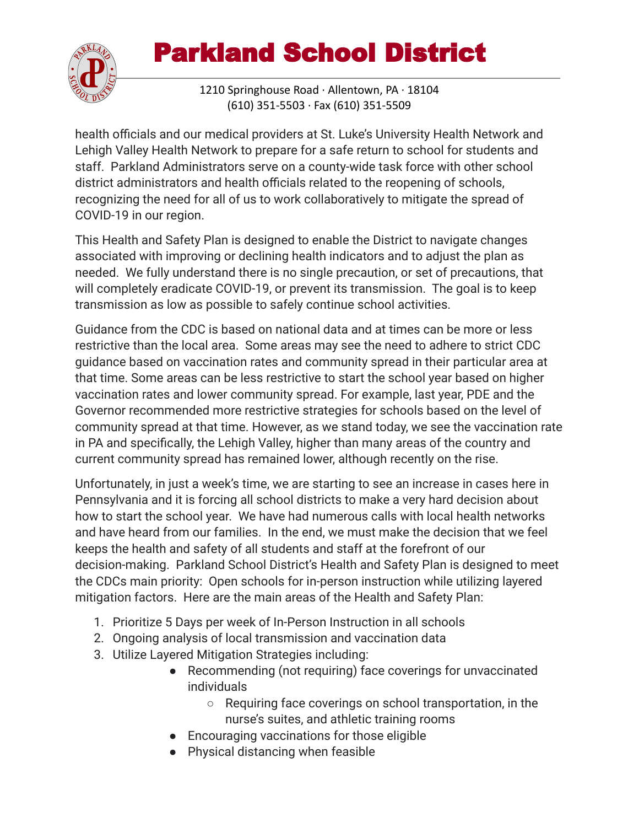

1210 Springhouse Road · Allentown, PA · 18104 (610) 351-5503 · Fax (610) 351-5509

health officials and our medical providers at St. Luke's University Health Network and Lehigh Valley Health Network to prepare for a safe return to school for students and staff. Parkland Administrators serve on a county-wide task force with other school district administrators and health officials related to the reopening of schools, recognizing the need for all of us to work collaboratively to mitigate the spread of COVID-19 in our region.

This Health and Safety Plan is designed to enable the District to navigate changes associated with improving or declining health indicators and to adjust the plan as needed. We fully understand there is no single precaution, or set of precautions, that will completely eradicate COVID-19, or prevent its transmission. The goal is to keep transmission as low as possible to safely continue school activities.

Guidance from the CDC is based on national data and at times can be more or less restrictive than the local area. Some areas may see the need to adhere to strict CDC guidance based on vaccination rates and community spread in their particular area at that time. Some areas can be less restrictive to start the school year based on higher vaccination rates and lower community spread. For example, last year, PDE and the Governor recommended more restrictive strategies for schools based on the level of community spread at that time. However, as we stand today, we see the vaccination rate in PA and specifically, the Lehigh Valley, higher than many areas of the country and current community spread has remained lower, although recently on the rise.

Unfortunately, in just a week's time, we are starting to see an increase in cases here in Pennsylvania and it is forcing all school districts to make a very hard decision about how to start the school year. We have had numerous calls with local health networks and have heard from our families. In the end, we must make the decision that we feel keeps the health and safety of all students and staff at the forefront of our decision-making. Parkland School District's Health and Safety Plan is designed to meet the CDCs main priority: Open schools for in-person instruction while utilizing layered mitigation factors. Here are the main areas of the Health and Safety Plan:

- 1. Prioritize 5 Days per week of In-Person Instruction in all schools
- 2. Ongoing analysis of local transmission and vaccination data
- 3. Utilize Layered Mitigation Strategies including:
	- Recommending (not requiring) face coverings for unvaccinated individuals
		- Requiring face coverings on school transportation, in the nurse's suites, and athletic training rooms
	- Encouraging vaccinations for those eligible
	- Physical distancing when feasible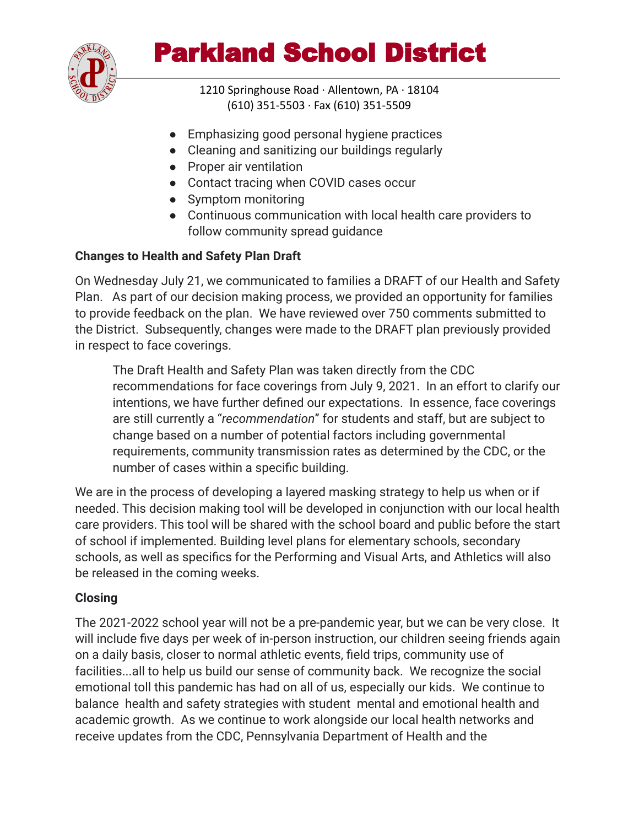

1210 Springhouse Road · Allentown, PA · 18104 (610) 351-5503 · Fax (610) 351-5509

- Emphasizing good personal hygiene practices
- Cleaning and sanitizing our buildings regularly
- Proper air ventilation
- Contact tracing when COVID cases occur
- Symptom monitoring
- Continuous communication with local health care providers to follow community spread guidance

#### **Changes to Health and Safety Plan Draft**

On Wednesday July 21, we communicated to families a DRAFT of our Health and Safety Plan. As part of our decision making process, we provided an opportunity for families to provide feedback on the plan. We have reviewed over 750 comments submitted to the District. Subsequently, changes were made to the DRAFT plan previously provided in respect to face coverings.

The Draft Health and Safety Plan was taken directly from the CDC recommendations for face coverings from July 9, 2021. In an effort to clarify our intentions, we have further defined our expectations. In essence, face coverings are still currently a "*recommendation*" for students and staff, but are subject to change based on a number of potential factors including governmental requirements, community transmission rates as determined by the CDC, or the number of cases within a specific building.

We are in the process of developing a layered masking strategy to help us when or if needed. This decision making tool will be developed in conjunction with our local health care providers. This tool will be shared with the school board and public before the start of school if implemented. Building level plans for elementary schools, secondary schools, as well as specifics for the Performing and Visual Arts, and Athletics will also be released in the coming weeks.

#### **Closing**

The 2021-2022 school year will not be a pre-pandemic year, but we can be very close. It will include five days per week of in-person instruction, our children seeing friends again on a daily basis, closer to normal athletic events, field trips, community use of facilities...all to help us build our sense of community back. We recognize the social emotional toll this pandemic has had on all of us, especially our kids. We continue to balance health and safety strategies with student mental and emotional health and academic growth. As we continue to work alongside our local health networks and receive updates from the CDC, Pennsylvania Department of Health and the